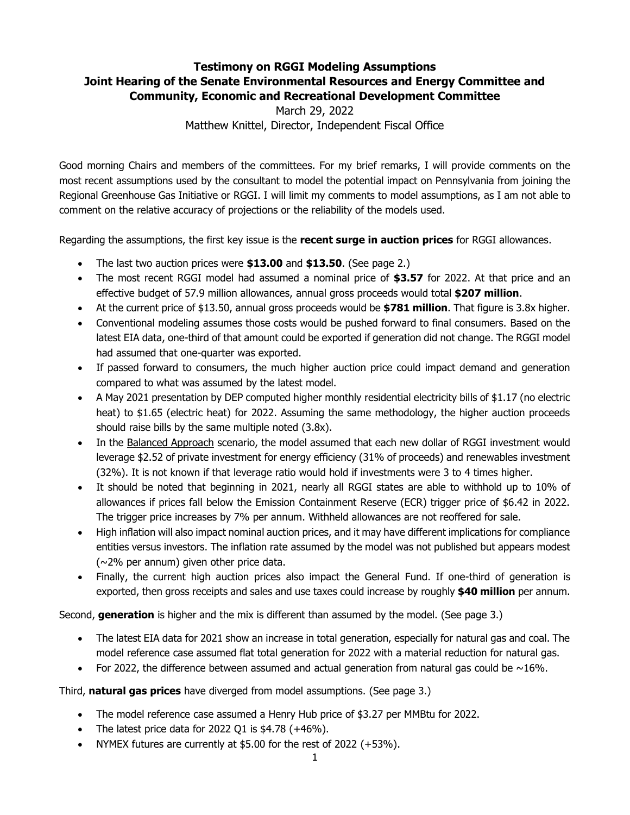## **Testimony on RGGI Modeling Assumptions Joint Hearing of the Senate Environmental Resources and Energy Committee and Community, Economic and Recreational Development Committee**

March 29, 2022 Matthew Knittel, Director, Independent Fiscal Office

Good morning Chairs and members of the committees. For my brief remarks, I will provide comments on the most recent assumptions used by the consultant to model the potential impact on Pennsylvania from joining the Regional Greenhouse Gas Initiative or RGGI. I will limit my comments to model assumptions, as I am not able to comment on the relative accuracy of projections or the reliability of the models used.

Regarding the assumptions, the first key issue is the **recent surge in auction prices** for RGGI allowances.

- The last two auction prices were **\$13.00** and **\$13.50**. (See page 2.)
- The most recent RGGI model had assumed a nominal price of **\$3.57** for 2022. At that price and an effective budget of 57.9 million allowances, annual gross proceeds would total **\$207 million**.
- At the current price of \$13.50, annual gross proceeds would be **\$781 million**. That figure is 3.8x higher.
- Conventional modeling assumes those costs would be pushed forward to final consumers. Based on the latest EIA data, one-third of that amount could be exported if generation did not change. The RGGI model had assumed that one-quarter was exported.
- If passed forward to consumers, the much higher auction price could impact demand and generation compared to what was assumed by the latest model.
- A May 2021 presentation by DEP computed higher monthly residential electricity bills of \$1.17 (no electric heat) to \$1.65 (electric heat) for 2022. Assuming the same methodology, the higher auction proceeds should raise bills by the same multiple noted (3.8x).
- In the Balanced Approach scenario, the model assumed that each new dollar of RGGI investment would leverage \$2.52 of private investment for energy efficiency (31% of proceeds) and renewables investment (32%). It is not known if that leverage ratio would hold if investments were 3 to 4 times higher.
- It should be noted that beginning in 2021, nearly all RGGI states are able to withhold up to 10% of allowances if prices fall below the Emission Containment Reserve (ECR) trigger price of \$6.42 in 2022. The trigger price increases by 7% per annum. Withheld allowances are not reoffered for sale.
- High inflation will also impact nominal auction prices, and it may have different implications for compliance entities versus investors. The inflation rate assumed by the model was not published but appears modest  $(\sim$ 2% per annum) given other price data.
- Finally, the current high auction prices also impact the General Fund. If one-third of generation is exported, then gross receipts and sales and use taxes could increase by roughly **\$40 million** per annum.

Second, **generation** is higher and the mix is different than assumed by the model. (See page 3.)

- The latest EIA data for 2021 show an increase in total generation, especially for natural gas and coal. The model reference case assumed flat total generation for 2022 with a material reduction for natural gas.
- For 2022, the difference between assumed and actual generation from natural gas could be  $\sim$ 16%.

Third, **natural gas prices** have diverged from model assumptions. (See page 3.)

- The model reference case assumed a Henry Hub price of \$3.27 per MMBtu for 2022.
- The latest price data for 2022 Q1 is  $$4.78$  ( $+46\%$ ).
- NYMEX futures are currently at \$5.00 for the rest of 2022 (+53%).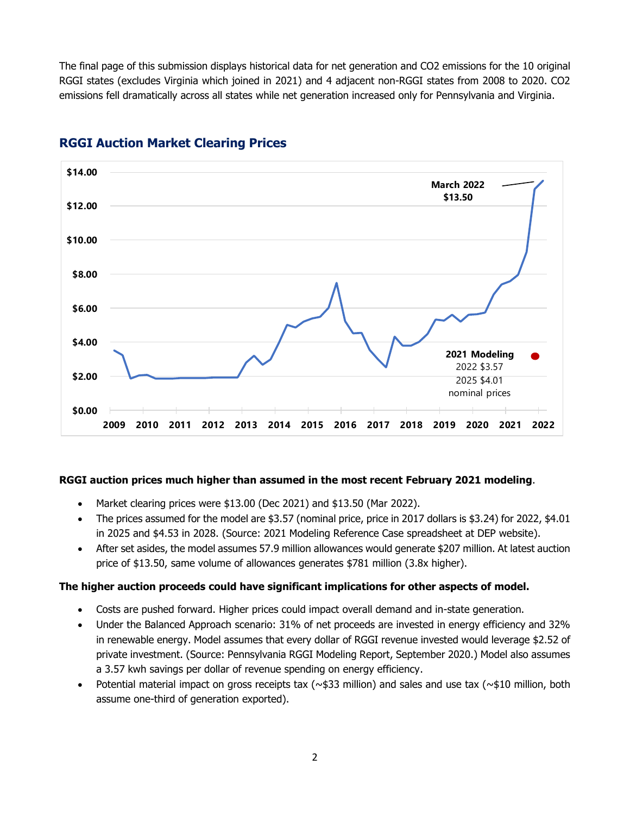The final page of this submission displays historical data for net generation and CO2 emissions for the 10 original RGGI states (excludes Virginia which joined in 2021) and 4 adjacent non-RGGI states from 2008 to 2020. CO2 emissions fell dramatically across all states while net generation increased only for Pennsylvania and Virginia.



# **RGGI Auction Market Clearing Prices**

#### **RGGI auction prices much higher than assumed in the most recent February 2021 modeling**.

- Market clearing prices were \$13.00 (Dec 2021) and \$13.50 (Mar 2022).
- The prices assumed for the model are \$3.57 (nominal price, price in 2017 dollars is \$3.24) for 2022, \$4.01 in 2025 and \$4.53 in 2028. (Source: 2021 Modeling Reference Case spreadsheet at DEP website).
- After set asides, the model assumes 57.9 million allowances would generate \$207 million. At latest auction price of \$13.50, same volume of allowances generates \$781 million (3.8x higher).

#### **The higher auction proceeds could have significant implications for other aspects of model.**

- Costs are pushed forward. Higher prices could impact overall demand and in-state generation.
- Under the Balanced Approach scenario: 31% of net proceeds are invested in energy efficiency and 32% in renewable energy. Model assumes that every dollar of RGGI revenue invested would leverage \$2.52 of private investment. (Source: Pennsylvania RGGI Modeling Report, September 2020.) Model also assumes a 3.57 kwh savings per dollar of revenue spending on energy efficiency.
- Potential material impact on gross receipts tax ( $\sim$ \$33 million) and sales and use tax ( $\sim$ \$10 million, both assume one-third of generation exported).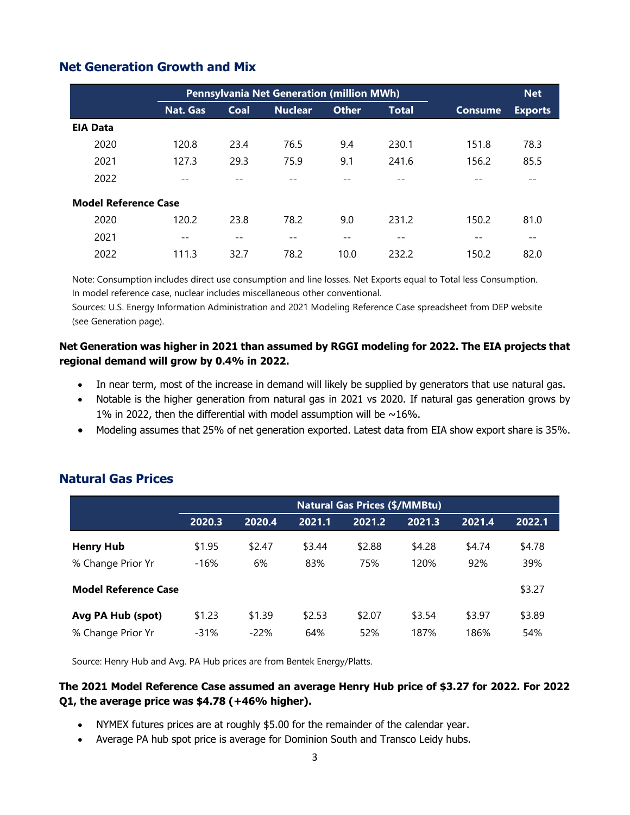|                                                                                                                                                                                                                                                                                                                                                                                                                                                                                                                                                                            |                 | Pennsylvania Net Generation (million MWh) |                | <b>Net</b>   |                                                                                                                                                                       |                |                |  |
|----------------------------------------------------------------------------------------------------------------------------------------------------------------------------------------------------------------------------------------------------------------------------------------------------------------------------------------------------------------------------------------------------------------------------------------------------------------------------------------------------------------------------------------------------------------------------|-----------------|-------------------------------------------|----------------|--------------|-----------------------------------------------------------------------------------------------------------------------------------------------------------------------|----------------|----------------|--|
|                                                                                                                                                                                                                                                                                                                                                                                                                                                                                                                                                                            | <b>Nat. Gas</b> | <b>Coal</b>                               | <b>Nuclear</b> | <b>Other</b> | <b>Total</b>                                                                                                                                                          | <b>Consume</b> | <b>Exports</b> |  |
| <b>EIA Data</b>                                                                                                                                                                                                                                                                                                                                                                                                                                                                                                                                                            |                 |                                           |                |              |                                                                                                                                                                       |                |                |  |
| 2020                                                                                                                                                                                                                                                                                                                                                                                                                                                                                                                                                                       | 120.8           | 23.4                                      | 76.5           | 9.4          | 230.1                                                                                                                                                                 | 151.8          | 78.3           |  |
| 2021                                                                                                                                                                                                                                                                                                                                                                                                                                                                                                                                                                       | 127.3           | 29.3                                      | 75.9           | 9.1          | 241.6                                                                                                                                                                 | 156.2          | 85.5           |  |
| 2022                                                                                                                                                                                                                                                                                                                                                                                                                                                                                                                                                                       | $-$             | $- -$                                     | $-$            | $-$          | $-$                                                                                                                                                                   |                | $- -$          |  |
| <b>Model Reference Case</b>                                                                                                                                                                                                                                                                                                                                                                                                                                                                                                                                                |                 |                                           |                |              |                                                                                                                                                                       |                |                |  |
| 2020                                                                                                                                                                                                                                                                                                                                                                                                                                                                                                                                                                       | 120.2           | 23.8                                      | 78.2           | 9.0          | 231.2                                                                                                                                                                 | 150.2          | 81.0           |  |
| 2021                                                                                                                                                                                                                                                                                                                                                                                                                                                                                                                                                                       |                 | $\overline{\phantom{a}}$ .                | $- -$          | $-\,-$       |                                                                                                                                                                       |                | $--$           |  |
| 2022                                                                                                                                                                                                                                                                                                                                                                                                                                                                                                                                                                       | 111.3           | 32.7                                      | 78.2           | 10.0         | 232.2                                                                                                                                                                 | 150.2          | 82.0           |  |
| et Generation was higher in 2021 than assumed by RGGI modeling for 2022. The EIA projects th<br>egional demand will grow by 0.4% in 2022.<br>In near term, most of the increase in demand will likely be supplied by generators that use natural ga<br>Notable is the higher generation from natural gas in 2021 vs 2020. If natural gas generation grows<br>1% in 2022, then the differential with model assumption will be $\sim$ 16%.<br>Modeling assumes that 25% of net generation exported. Latest data from EIA show export share is 35<br><b>atural Gas Prices</b> |                 |                                           |                |              |                                                                                                                                                                       |                |                |  |
|                                                                                                                                                                                                                                                                                                                                                                                                                                                                                                                                                                            |                 |                                           |                |              | <b>Natural Gas Prices (\$/MMBtu)</b>                                                                                                                                  |                |                |  |
|                                                                                                                                                                                                                                                                                                                                                                                                                                                                                                                                                                            | 2020.3          | 2020.4                                    | 2021.1         |              | 2021.2<br>2021.3                                                                                                                                                      | 2021.4         | 2022.1         |  |
| <b>Henry Hub</b>                                                                                                                                                                                                                                                                                                                                                                                                                                                                                                                                                           | \$1.95          | \$2.47                                    | \$3.44         |              | \$4.28<br>\$2.88                                                                                                                                                      | \$4.74         | \$4.78         |  |
| % Change Prior Yr                                                                                                                                                                                                                                                                                                                                                                                                                                                                                                                                                          | $-16%$          | 6%                                        | 83%            |              | 75%<br>120%                                                                                                                                                           | 92%            | 39%            |  |
|                                                                                                                                                                                                                                                                                                                                                                                                                                                                                                                                                                            |                 |                                           |                |              |                                                                                                                                                                       |                |                |  |
| <b>Model Reference Case</b>                                                                                                                                                                                                                                                                                                                                                                                                                                                                                                                                                |                 |                                           |                |              |                                                                                                                                                                       |                | \$3.27         |  |
| Avg PA Hub (spot)                                                                                                                                                                                                                                                                                                                                                                                                                                                                                                                                                          | \$1.23          | \$1.39                                    | \$2.53         |              | \$2.07<br>\$3.54                                                                                                                                                      | \$3.97         | \$3.89         |  |
| % Change Prior Yr                                                                                                                                                                                                                                                                                                                                                                                                                                                                                                                                                          | $-31%$          | $-22%$                                    | 64%            |              | 52%<br>187%                                                                                                                                                           | 186%           | 54%            |  |
| Source: Henry Hub and Avg. PA Hub prices are from Bentek Energy/Platts.                                                                                                                                                                                                                                                                                                                                                                                                                                                                                                    |                 |                                           |                |              |                                                                                                                                                                       |                |                |  |
|                                                                                                                                                                                                                                                                                                                                                                                                                                                                                                                                                                            |                 |                                           |                |              |                                                                                                                                                                       |                |                |  |
| he 2021 Model Reference Case assumed an average Henry Hub price of \$3.27 for 2022. For 20<br>1, the average price was \$4.78 (+46% higher).                                                                                                                                                                                                                                                                                                                                                                                                                               |                 |                                           |                |              |                                                                                                                                                                       |                |                |  |
|                                                                                                                                                                                                                                                                                                                                                                                                                                                                                                                                                                            |                 |                                           |                |              | NYMEX futures prices are at roughly \$5.00 for the remainder of the calendar year.<br>Average PA hub spot price is average for Dominion South and Transco Leidy hubs. |                |                |  |

## **Net Generation Growth and Mix**

### **Net Generation was higher in 2021 than assumed by RGGI modeling for 2022. The EIA projects that regional demand will grow by 0.4% in 2022.**

- In near term, most of the increase in demand will likely be supplied by generators that use natural gas.
- Notable is the higher generation from natural gas in 2021 vs 2020. If natural gas generation grows by 1% in 2022, then the differential with model assumption will be  $\sim$ 16%.
- Modeling assumes that 25% of net generation exported. Latest data from EIA show export share is 35%.

|                             | <b>Natural Gas Prices (\$/MMBtu)</b> |        |        |        |        |        |        |  |
|-----------------------------|--------------------------------------|--------|--------|--------|--------|--------|--------|--|
|                             | 2020.3                               | 2020.4 | 2021.1 | 2021.2 | 2021.3 | 2021.4 | 2022.1 |  |
| <b>Henry Hub</b>            | \$1.95                               | \$2.47 | \$3.44 | \$2.88 | \$4.28 | \$4.74 | \$4.78 |  |
| % Change Prior Yr           | $-16%$                               | 6%     | 83%    | 75%    | 120%   | 92%    | 39%    |  |
| <b>Model Reference Case</b> |                                      |        |        |        |        |        | \$3.27 |  |
| Avg PA Hub (spot)           | \$1.23                               | \$1.39 | \$2.53 | \$2.07 | \$3.54 | \$3.97 | \$3.89 |  |
| % Change Prior Yr           | $-31%$                               | $-22%$ | 64%    | 52%    | 187%   | 186%   | 54%    |  |

# **Natural Gas Prices**

### **The 2021 Model Reference Case assumed an average Henry Hub price of \$3.27 for 2022. For 2022 Q1, the average price was \$4.78 (+46% higher).**

- NYMEX futures prices are at roughly \$5.00 for the remainder of the calendar year.
-